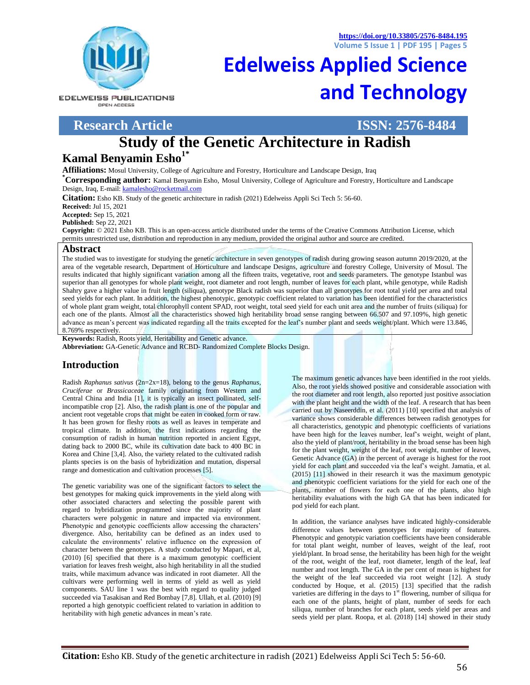**<https://doi.org/10.33805/2576-8484.195> Volume 5 Issue 1 | PDF 195 | Pages 5**

**EDELWEISS PUBLICATIONS** OPEN ACCESS

# **[Edelweiss Applied Science](http://edelweisspublications.com/journals/44/Edelweiss-Applied-Science-and-Technology-(ISSN:-2576-8484))  [and Technology](http://edelweisspublications.com/journals/44/Edelweiss-Applied-Science-and-Technology-(ISSN:-2576-8484))**

## **Research Article ISSN: 2576-8484**

# **Study of the Genetic Architecture in Radish Kamal Benyamin Esho1\***

**Affiliations:** Mosul University, College of Agriculture and Forestry, Horticulture and Landscape Design, Iraq

**\*Corresponding author:** Kamal Benyamin Esho, Mosul University, College of Agriculture and Forestry, Horticulture and Landscape Design, Iraq, E-mail[: kamalesho@rocketmail.com](mailto:kamalesho@rocketmail.com)

**Citation:** Esho KB. Study of the genetic architecture in radish (2021) Edelweiss Appli Sci Tech 5: 56-60.

**Received:** Jul 15, 2021

**Accepted:** Sep 15, 2021

**Published:** Sep 22, 2021

**Copyright:** © 2021 Esho KB. This is an open-access article distributed under the terms of the Creative Commons Attribution License, which permits unrestricted use, distribution and reproduction in any medium, provided the original author and source are credited.

#### **Abstract**

The studied was to investigate for studying the genetic architecture in seven genotypes of radish during growing season autumn 2019/2020, at the area of the vegetable research, Department of Horticulture and landscape Designs, agriculture and forestry College, University of Mosul. The results indicated that highly significant variation among all the fifteen traits, vegetative, root and seeds parameters. The genotype Istanbul was superior than all genotypes for whole plant weight, root diameter and root length, number of leaves for each plant, while genotype, while Radish Shahry gave a higher value in fruit length (siliqua), genotype Black radish was superior than all genotypes for root total yield per area and total seed yields for each plant. In addition, the highest phenotypic, genotypic coefficient related to variation has been identified for the characteristics of whole plant gram weight, total chlorophyll content SPAD, root weight, total seed yield for each unit area and the number of fruits (siliqua) for each one of the plants. Almost all the characteristics showed high heritability broad sense ranging between 66.507 and 97.109%, high genetic advance as mean's percent was indicated regarding all the traits excepted for the leaf's number plant and seeds weight/plant. Which were 13.846, 8.769% respectively.

**Keywords:** Radish, Roots yield, Heritability and Genetic advance. **Abbreviation:** GA-Genetic Advance and RCBD- Randomized Complete Blocks Design.

## **Introduction**

Radish *Raphanus sativus* (2n=2x=18), belong to the genus *Raphanus, Cruciferae* or *Brassicaceae* family originating from Western and Central China and India [1], it is typically an insect pollinated, selfincompatible crop [2]. Also, the radish plant is one of the popular and ancient root vegetable crops that might be eaten in cooked form or raw. It has been grown for fleshy roots as well as leaves in temperate and tropical climate. In addition, the first indications regarding the consumption of radish in human nutrition reported in ancient Egypt, dating back to 2000 BC, while its cultivation date back to 400 BC in Korea and Chine [3,4]. Also, the variety related to the cultivated radish plants species is on the basis of hybridization and mutation, dispersal range and domestication and cultivation processes [5].

The genetic variability was one of the significant factors to select the best genotypes for making quick improvements in the yield along with other associated characters and selecting the possible parent with regard to hybridization programmed since the majority of plant characters were polygenic in nature and impacted via environment. Phenotypic and genotypic coefficients allow accessing the characters' divergence. Also, heritability can be defined as an index used to calculate the environments' relative influence on the expression of character between the genotypes. A study conducted by Mapari, et al, (2010) [6] specified that there is a maximum genotypic coefficient variation for leaves fresh weight, also high heritability in all the studied traits, while maximum advance was indicated in root diameter. All the cultivars were performing well in terms of yield as well as yield components. SAU line 1 was the best with regard to quality judged succeeded via Tasakisan and Red Bombay [7,8]. Ullah, et al. (2010) [9] reported a high genotypic coefficient related to variation in addition to heritability with high genetic advances in mean's rate.

The maximum genetic advances have been identified in the root yields. Also, the root yields showed positive and considerable association with the root diameter and root length, also reported just positive association with the plant height and the width of the leaf. A research that has been carried out by Naseerddin, et al. (2011) [10] specified that analysis of variance shows considerable differences between radish genotypes for all characteristics, genotypic and phenotypic coefficients of variations have been high for the leaves number, leaf's weight, weight of plant, also the yield of plant/root, heritability in the broad sense has been high for the plant weight, weight of the leaf, root weight, number of leaves, Genetic Advance (GA) in the percent of average is highest for the root yield for each plant and succeeded via the leaf's weight. Jamatia, et al. (2015) [11] showed in their research it was the maximum genotypic and phenotypic coefficient variations for the yield for each one of the plants, number of flowers for each one of the plants, also high heritability evaluations with the high GA that has been indicated for pod yield for each plant.

In addition, the variance analyses have indicated highly-considerable difference values between genotypes for majority of features. Phenotypic and genotypic variation coefficients have been considerable for total plant weight, number of leaves, weight of the leaf, root yield/plant. In broad sense, the heritability has been high for the weight of the root, weight of the leaf, root diameter, length of the leaf, leaf number and root length. The GA in the per cent of mean is highest for the weight of the leaf succeeded via root weight [12]. A study conducted by Hoque, et al. (2015) [13] specified that the radish varieties are differing in the days to  $1<sup>st</sup>$  flowering, number of siliqua for each one of the plants, height of plant, number of seeds for each siliqua, number of branches for each plant, seeds yield per areas and seeds yield per plant. Roopa, et al. (2018) [14] showed in their study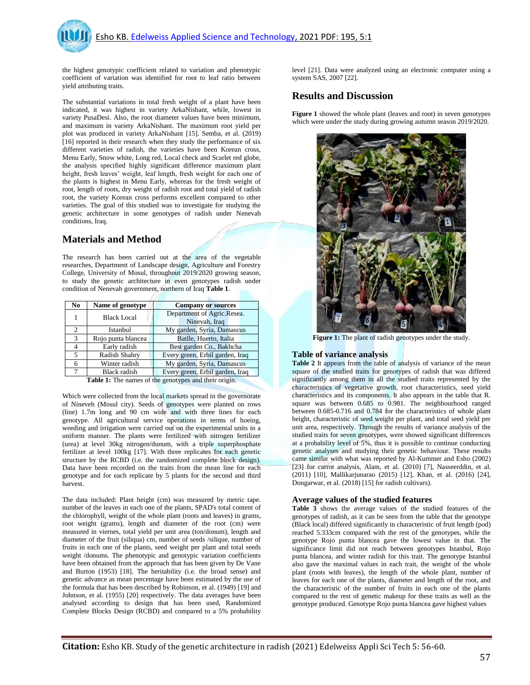the highest genotypic coefficient related to variation and phenotypic coefficient of variation was identified for root to leaf ratio between yield attributing traits.

The substantial variations in total fresh weight of a plant have been indicated, it was highest in variety ArkaNishant, while, lowest in variety PusaDesi. Also, the root diameter values have been minimum, and maximum in variety ArkaNishant. The maximum root yield per plot was produced in variety ArkaNishant [15]. Semba, et al. (2019) [16] reported in their research when they study the performance of six different varieties of radish, the varieties have been Korean cross, Menu Early, Snow white, Long red, Local check and Scarlet red globe, the analysis specified highly significant difference maximum plant height, fresh leaves' weight, leaf length, fresh weight for each one of the plants is highest in Menu Early, whereas for the fresh weight of root, length of roots, dry weight of radish root and total yield of radish root, the variety Korean cross performs excellent compared to other varieties. The goal of this studied was to investigate for studying the genetic architecture in some genotypes of radish under Nenevah conditions, Iraq.

#### **Materials and Method**

The research has been carried out at the area of the vegetable researches, Department of Landscape design, Agriculture and Forestry College, University of Mosul, throughout 2019/2020 growing season, to study the genetic architecture in even genotypes radish under condition of Nenevah government, northern of Iraq **Table 1**.

| N <sub>0</sub> | Name of genotype   | <b>Company or sources</b>                   |
|----------------|--------------------|---------------------------------------------|
|                | <b>Black Local</b> | Department of Agric.Resea.<br>Ninevah, Iraq |
| $\overline{c}$ | Istanbul           | My garden, Syria, Damascus                  |
| 3              | Rojo punta blancea | Batlle, Huerto, Italia                      |
| 4              | Early radish       | Best garden Co., Bakhcha                    |
| 5              | Radish Shahry      | Every green, Erbil garden, Iraq             |
| 6              | Winter radish      | My garden, Syria, Damascus                  |
| 7              | Black radish       | Every green, Erbil garden, Iraq             |

**Table 1:** The names of the genotypes and their origin.

Which were collected from the local markets spread in the governorate of Nineveh (Mosul city). Seeds of genotypes were planted on rows (line) 1.7m long and 90 cm wide and with three lines for each genotype. All agricultural service operations in terms of hoeing, weeding and irrigation were carried out on the experimental units in a uniform manner. The plants were fertilized with nitrogen fertilizer (urea) at level 30kg nitrogen/dunum, with a triple superphosphate fertilizer at level 100kg [17]. With three replicates for each genetic structure by the RCBD (i.e. the randomized complete block design). Data have been recorded on the traits from the mean line for each genotype and for each replicate by 5 plants for the second and third harvest.

The data included: Plant height (cm) was measured by metric tape. number of the leaves in each one of the plants, SPAD's total content of the chlorophyll, weight of the whole plant (roots and leaves) in grams, root weight (grams), length and diameter of the root (cm) were measured in viernes, total yield per unit area (ton/donum), length and diameter of the fruit (siliqua) cm, number of seeds /silique, number of fruits in each one of the plants, seed weight per plant and total seeds weight /donums. The phenotypic and genotypic variation coefficients have been obtained from the approach that has been given by De Vane and Burton (1953) [18]. The heritability (i.e. the broad sense) and genetic advance as mean percentage have been estimated by the use of the formula that has been described by Robinson, et al. (1949) [19] and Johnson, et al. (1955) [20] respectively. The data averages have been analysed according to design that has been used, Randomized Complete Blocks Design (RCBD) and compared to a 5% probability

level [21]. Data were analyzed using an electronic computer using a system SAS, 2007 [22].

#### **Results and Discussion**

**Figure 1** showed the whole plant (leaves and root) in seven genotypes which were under the study during growing autumn season 2019/2020.



Figure 1: The plant of radish genotypes under the study.

#### **Table of variance analysis**

**Table 2** It appears from the table of analysis of variance of the mean square of the studied traits for genotypes of radish that was differed significantly among them in all the studied traits represented by the characteristics of vegetative growth, root characteristics, seed yield characteristics and its components. It also appears in the table that R. square was between 0.685 to 0.981. The neighbourhood ranged between 0.685-0.716 and 0.784 for the characteristics of whole plant height, characteristic of seed weight per plant, and total seed yield per unit area, respectively. Through the results of variance analysis of the studied traits for seven genotypes, were showed significant differences at a probability level of 5%, thus it is possible to continue conducting genetic analyses and studying their genetic behaviour. These results came similar with what was reported by Al-Kummer and Esho (2002) [23] for carrot analysis, Alam, et al. (2010) [7], Nasseerddin, et al. (2011) [10], Mallikarjunarao (2015) [12], Khan, et al. (2016) [24], Dongarwar, et al. (2018) [15] for radish cultivars).

#### **Average values of the studied features**

**Table 3** shows the average values of the studied features of the genotypes of radish, as it can be seen from the table that the genotype (Black local) differed significantly in characteristic of fruit length (pod) reached 5.333cm compared with the rest of the genotypes, while the genotype Rojo punta blancea gave the lowest value in that. The significance limit did not reach between genotypes Istanbul, Rojo punta blancea, and winter radish for this trait. The genotype Istanbul also gave the maximal values in each trait, the weight of the whole plant (roots with leaves), the length of the whole plant, number of leaves for each one of the plants, diameter and length of the root, and the characteristic of the number of fruits in each one of the plants compared to the rest of genetic makeup for these traits as well as the genotype produced. Genotype Rojo punta blancea gave highest values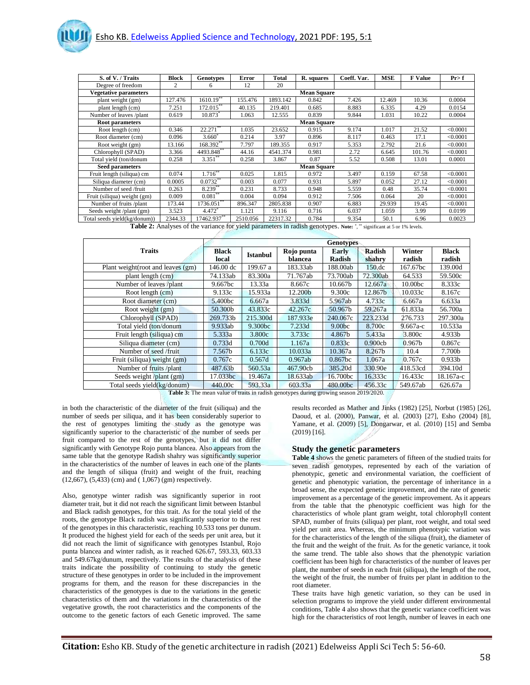| S. of V. / Traits            | <b>Block</b>   | Genotypes       | Error    | <b>Total</b> | R. squares         | Coeff. Var. | <b>MSE</b> | <b>F</b> Value | Pr > f   |
|------------------------------|----------------|-----------------|----------|--------------|--------------------|-------------|------------|----------------|----------|
| Degree of freedom            | $\overline{c}$ | 6               | 12       | 20           |                    |             |            |                |          |
| <b>Vegetative parameters</b> |                |                 |          |              | <b>Mean Square</b> |             |            |                |          |
| plant weight (gm)            | 127.476        | $1610.19^*$     | 155.476  | 1893.142     | 0.842              | 7.426       | 12.469     | 10.36          | 0.0004   |
| plant length (cm)            | 7.251          | $172.015***$    | 40.135   | 219.401      | 0.685              | 8.883       | 6.335      | 4.29           | 0.0154   |
| Number of leaves /plant      | 0.619          | 10.873          | 1.063    | 12.555       | 0.839              | 9.844       | 1.031      | 10.22          | 0.0004   |
| <b>Root parameters</b>       |                |                 |          |              | <b>Mean Square</b> |             |            |                |          |
| Root length (cm)             | 0.346          | 22.271          | 1.035    | 23.652       | 0.915              | 9.174       | 1.017      | 21.52          | < 0.0001 |
| Root diameter (cm)           | 0.096          | $3.660^{\circ}$ | 0.214    | 3.97         | 0.896              | 8.117       | 0.463      | 17.1           | < 0.0001 |
| Root weight (gm)             | 13.166         | 168.392         | 7.797    | 189.355      | 0.917              | 5.353       | 2.792      | 21.6           | < 0.0001 |
| Chlorophyll (SPAD)           | 3.366          | 4493.848**      | 44.16    | 4541.374     | 0.981              | 2.72        | 6.645      | 101.76         | < 0.0001 |
| Total yield (ton/donum       | 0.258          | $3.351***$      | 0.258    | 3.867        | 0.87               | 5.52        | 0.508      | 13.01          | 0.0001   |
| <b>Seed parameters</b>       |                |                 |          |              | <b>Mean Square</b> |             |            |                |          |
| Fruit length (siliqua) cm    | 0.074          | $1.716$ *       | 0.025    | 1.815        | 0.972              | 3.497       | 0.159      | 67.58          | < 0.0001 |
| Siliqua diameter (cm)        | 0.0005         | 0.0732          | 0.003    | 0.077        | 0.931              | 5.897       | 0.052      | 27.12          | < 0.0001 |
| Number of seed /fruit        | 0.263          | $8.239***$      | 0.231    | 8.733        | 0.948              | 5.559       | 0.48       | 35.74          | < 0.0001 |
| Fruit (siliqua) weight (gm)  | 0.009          | $0.081***$      | 0.004    | 0.094        | 0.912              | 7.506       | 0.064      | 20             | < 0.0001 |
| Number of fruits /plant      | 173.44         | $1736.051$ **   | 896.347  | 2805.838     | 0.907              | 6.883       | 29.939     | 19.45          | < 0.0001 |
| Seeds weight /plant (gm)     | 3.523          | 4.472           | 1.121    | 9.116        | 0.716              | 6.037       | 1.059      | 3.99           | 0.0199   |
| Total seeds yield(kg/donum)) | 2344.33        | 17462.937**     | 2510.056 | 22317.32     | 0.784              | 9.354       | 50.1       | 6.96           | 0.0023   |

Table 2: Analyses of the variance for yield parameters in radish genotypes. Note: ","" significant at 5 or 1% levels.

|                                    | <b>Genotypes</b>      |                 |                       |                        |                  |                    |                        |  |  |  |
|------------------------------------|-----------------------|-----------------|-----------------------|------------------------|------------------|--------------------|------------------------|--|--|--|
| <b>Traits</b>                      | <b>Black</b><br>local | <b>Istanbul</b> | Rojo punta<br>blancea | Early<br><b>Radish</b> | Radish<br>shahry | Winter<br>radish   | <b>Black</b><br>radish |  |  |  |
| Plant weight (root and leaves (gm) | 146.00 dc             | 199.67 a        | 183.33ab              | 188.00ab               | $150 \text{.dc}$ | 167.67bc           | 139.00d                |  |  |  |
| plant length (cm)                  | 74.133ab              | 83.300a         | 71.767ab              | 73.700ab               | 72.300ab         | 64.533             | 59.500c                |  |  |  |
| Number of leaves /plant            | 9.667bc               | 13.33a          | 8.667c                | 10.667b                | 12.667a          | 10.00bc            | 8.333c                 |  |  |  |
| Root length (cm)                   | 9.133c                | 15.933a         | 12.200b               | 9.300c                 | 12.867b          | 10.033c            | 8.167c                 |  |  |  |
| Root diameter (cm)                 | 5.400bc               | 6.667a          | 3.833d                | 5.967ab                | 4.733c           | 6.667a             | 6.633a                 |  |  |  |
| Root weight (gm)                   | 50.300b               | 43.833c         | 42.267c               | 50.967b                | 59.267a          | 61.833a            | 56.700a                |  |  |  |
| Chlorophyll (SPAD)                 | 269.733b              | 215.300d        | 187.933e              | 240.067c               | 223.233d         | 276.733            | 297.300a               |  |  |  |
| Total yield (ton/donum             | 9.933ab               | 9.300bc         | 7.233d                | 9.00 <sub>b</sub>      | 8.700c           | $9.667a-c$         | 10.533a                |  |  |  |
| Fruit length (siliqua) cm          | 5.333a                | 3.800c          | 3.733c                | 4.867b                 | 5.433a           | 3.800c             | 4.933b                 |  |  |  |
| Siliqua diameter (cm)              | 0.733d                | 0.700d          | 1.167a                | 0.833c                 | 0.900cb          | 0.967 <sub>b</sub> | 0.867c                 |  |  |  |
| Number of seed /fruit              | 7.567b                | 6.133c          | 10.033a               | 10.367a                | 8.267b           | 10.4               | 7.700b                 |  |  |  |
| Fruit (siliqua) weight (gm)        | 0.767c                | 0.567d          | 0.967ab               | 0.867bc                | 1.067a           | 0.767c             | 0.933 <sub>b</sub>     |  |  |  |
| Number of fruits /plant            | 487.63b               | 560.53a         | 467.90cb              | 385.20d                | 330.90e          | 418.53cd           | 394.10d                |  |  |  |
| Seeds weight /plant (gm)           | 17.033bc              | 19.467a         | 18.633ab              | 16.700bc               | 16.333c          | 16.433c            | 18.167a-c              |  |  |  |
| Total seeds yield(kg/donum)        | 440.00c               | 593.33a         | 603.33a               | 480.00bc               | 456.33c          | 549.67ab           | 626.67a                |  |  |  |

**Table 3:** The mean value of traits in radish genotypes during growing season 2019/2020.

in both the characteristic of the diameter of the fruit (siliqua) and the number of seeds per siliqua, and it has been considerably superior to the rest of genotypes limiting the study as the genotype was significantly superior to the characteristic of the number of seeds per fruit compared to the rest of the genotypes, but it did not differ significantly with Genotype Rojo punta blancea. Also appears from the same table that the genotype Radish shahry was significantly superior in the characteristics of the number of leaves in each one of the plants and the length of siliqua (fruit) and weight of the fruit, reaching (12,667), (5,433) (cm) and ( 1,067) (gm) respectively.

Also, genotype winter radish was significantly superior in root diameter trait, but it did not reach the significant limit between Istanbul and Black radish genotypes, for this trait. As for the total yield of the roots, the genotype Black radish was significantly superior to the rest of the genotypes in this characteristic, reaching 10.533 tons per dunum. It produced the highest yield for each of the seeds per unit area, but it did not reach the limit of significance with genotypes Istanbul, Rojo punta blancea and winter radish, as it reached 626.67, 593.33, 603.33 and 549.67kg/dunum, respectively. The results of the analysis of these traits indicate the possibility of continuing to study the genetic structure of these genotypes in order to be included in the improvement programs for them, and the reason for these discrepancies in the characteristics of the genotypes is due to the variations in the genetic characteristics of them and the variations in the characteristics of the vegetative growth, the root characteristics and the components of the outcome to the genetic factors of each Genetic improved. The same results recorded as Mather and Jinks (1982) [25], Norbut (1985) [26], Daoud, et al. (2000), Panwar, et al. (2003) [27], Esho (2004) [8], Yamane, et al. (2009) [5], Dongarwar, et al. (2010) [15] and Semba (2019) [16].

#### **Study the genetic parameters**

**Table 4** shows the genetic parameters of fifteen of the studied traits for seven radish genotypes, represented by each of the variation of phenotypic, genetic and environmental variation, the coefficient of genetic and phenotypic variation, the percentage of inheritance in a broad sense, the expected genetic improvement, and the rate of genetic improvement as a percentage of the genetic improvement. As it appears from the table that the phenotypic coefficient was high for the characteristics of whole plant gram weight, total chlorophyll content SPAD, number of fruits (siliqua) per plant, root weight, and total seed yield per unit area. Whereas, the minimum phenotypic variation was for the characteristics of the length of the siliqua (fruit), the diameter of the fruit and the weight of the fruit. As for the genetic variance, it took the same trend. The table also shows that the phenotypic variation coefficient has been high for characteristics of the number of leaves per plant, the number of seeds in each fruit (siliqua), the length of the root, the weight of the fruit, the number of fruits per plant in addition to the root diameter.

These traits have high genetic variation, so they can be used in selection programs to improve the yield under different environmental conditions, Table 4 also shows that the genetic variance coefficient was high for the characteristics of root length, number of leaves in each one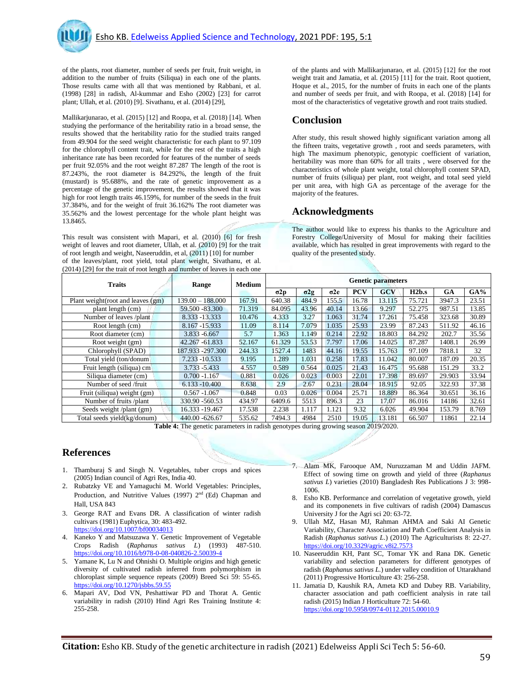

of the plants, root diameter, number of seeds per fruit, fruit weight, in addition to the number of fruits (Siliqua) in each one of the plants. Those results came with all that was mentioned by Rabbani, et al. (1998) [28] in radish, Al-kummar and Esho (2002) [23] for carrot plant; Ullah, et al. (2010) [9]. Sivathanu, et al. (2014) [29],

Mallikarjunarao, et al. (2015) [12] and Roopa, et al. (2018) [14]. When studying the performance of the heritability ratio in a broad sense, the results showed that the heritability ratio for the studied traits ranged from 49.904 for the seed weight characteristic for each plant to 97.109 for the chlorophyll content trait, while for the rest of the traits a high inheritance rate has been recorded for features of the number of seeds per fruit 92.05% and the root weight 87.287 The length of the root is 87.243%, the root diameter is 84.292%, the length of the fruit (mustard) is 95.688%, and the rate of genetic improvement as a percentage of the genetic improvement, the results showed that it was high for root length traits 46.159%, for number of the seeds in the fruit 37.384%, and for the weight of fruit 36.162% The root diameter was 35.562% and the lowest percentage for the whole plant height was 13.8465.

This result was consistent with Mapari, et al. (2010) [6] for fresh weight of leaves and root diameter, Ullah, et al. (2010) [9] for the trait of root length and weight, Naseeruddin, et al, (2011) [10] for number of the leaves/plant, root yield, total plant weight, Sivathanu, et al.

(2014) [29] for the trait of root length and number of leaves in each one

of the plants and with Mallikarjunarao, et al. (2015) [12] for the root weight trait and Jamatia, et al. (2015) [11] for the trait. Root quotient, Hoque et al., 2015, for the number of fruits in each one of the plants and number of seeds per fruit, and with Roopa, et al. (2018) [14] for most of the characteristics of vegetative growth and root traits studied.

### **Conclusion**

After study, this result showed highly significant variation among all the fifteen traits, vegetative growth , root and seeds parameters, with high The maximum phenotypic, genotypic coefficient of variation, heritability was more than 60% for all traits , were observed for the characteristics of whole plant weight, total chlorophyll content SPAD, number of fruits (siliqua) per plant, root weight, and total seed yield per unit area, with high GA as percentage of the average for the majority of the features.

#### **Acknowledgments**

The author would like to express his thanks to the Agriculture and Forestry College/University of Mosul for making their facilities available, which has resulted in great improvements with regard to the quality of the presented study.

| $(201 + 712)$ for the trait of foot length and humber of leaves in each one |                    |               |                           |             |             |            |            |        |        |        |
|-----------------------------------------------------------------------------|--------------------|---------------|---------------------------|-------------|-------------|------------|------------|--------|--------|--------|
| <b>Traits</b>                                                               | Range              | <b>Medium</b> | <b>Genetic parameters</b> |             |             |            |            |        |        |        |
|                                                                             |                    |               | $\sigma$ 2p               | $\sigma$ 2g | $\sigma$ 2e | <b>PCV</b> | <b>GCV</b> | H2b.s  | GA     | $GA\%$ |
| Plant weight (root and leaves (gm)                                          | $139.00 - 188.000$ | 167.91        | 640.38                    | 484.9       | 155.5       | 16.78      | 13.115     | 75.721 | 3947.3 | 23.51  |
| plant length (cm)                                                           | 59.500 - 83.300    | 71.319        | 84.095                    | 43.96       | 40.14       | 13.66      | 9.297      | 52.275 | 987.51 | 13.85  |
| Number of leaves /plant                                                     | 8.333 - 13.333     | 10.476        | 4.333                     | 3.27        | 1.063       | 31.74      | 17.261     | 75.458 | 323.68 | 30.89  |
| Root length (cm)                                                            | 8.167 -15.933      | 11.09         | 8.114                     | 7.079       | 1.035       | 25.93      | 23.99      | 87.243 | 511.92 | 46.16  |
| Root diameter (cm)                                                          | 3.833 -6.667       | 5.7           | 1.363                     | 1.149       | 0.214       | 22.92      | 18.803     | 84.292 | 202.7  | 35.56  |
| Root weight (gm)                                                            | 42.267 - 61.833    | 52.167        | 61.329                    | 53.53       | 7.797       | 17.06      | 14.025     | 87.287 | 1408.1 | 26.99  |
| Chlorophyll (SPAD)                                                          | 187.933 -297.300   | 244.33        | 1527.4                    | 1483        | 44.16       | 19.55      | 15.763     | 97.109 | 7818.1 | 32     |
| Total yield (ton/donum                                                      | 7.233 - 10.533     | 9.195         | 1.289                     | 1.031       | 0.258       | 17.83      | 11.042     | 80.007 | 187.09 | 20.35  |
| Fruit length (siliqua) cm                                                   | $3.733 - 5.433$    | 4.557         | 0.589                     | 0.564       | 0.025       | 21.43      | 16.475     | 95.688 | 151.29 | 33.2   |
| Siliqua diameter (cm)                                                       | $0.700 - 1.167$    | 0.881         | 0.026                     | 0.023       | 0.003       | 22.01      | 17.398     | 89.697 | 29.903 | 33.94  |
| Number of seed /fruit                                                       | $6.133 - 10.400$   | 8.638         | 2.9                       | 2.67        | 0.231       | 28.04      | 18.915     | 92.05  | 322.93 | 37.38  |
| Fruit (siliqua) weight (gm)                                                 | $0.567 - 1.067$    | 0.848         | 0.03                      | 0.026       | 0.004       | 25.71      | 18.889     | 86.364 | 30.651 | 36.16  |
| Number of fruits/plant                                                      | 330.90 - 560.53    | 434.97        | 6409.6                    | 5513        | 896.3       | 23         | 17.07      | 86.016 | 14186  | 32.61  |
| Seeds weight /plant (gm)                                                    | 16.333 - 19.467    | 17.538        | 2.238                     | 1.117       | 1.121       | 9.32       | 6.026      | 49.904 | 153.79 | 8.769  |
| Total seeds yield(kg/donum)                                                 | 440.00 -626.67     | 535.62        | 7494.3                    | 4984        | 2510        | 19.05      | 13.181     | 66.507 | 11861  | 22.14  |

**Table 4:** The genetic parameters in radish genotypes during growing season 2019/2020.

#### **References**

- 1. Thamburaj S and Singh N. Vegetables, tuber crops and spices (2005) Indian council of Agri Res, India 40.
- 2. Rubatzky VE and Yamaguchi M. World Vegetables: Principles, Production, and Nutritive Values (1997) 2<sup>nd</sup> (Ed) Chapman and Hall, USA 843
- 3. George RAT and Evans DR. A classification of winter radish cultivars (1981) Euphytica, 30: 483-492. <https://doi.org/10.1007/bf00034013>
- 4. Kaneko Y and Matsuzawa Y. Genetic Improvement of Vegetable Crops Radish (*Raphanus sativus L*) (1993) 487-510. <https://doi.org/10.1016/b978-0-08-040826-2.50039-4>
- 5. Yamane K, Lu N and Ohnishi O. Multiple origins and high genetic diversity of cultivated radish inferred from polymorphism in chloroplast simple sequence repeats (2009) Breed Sci 59: 55-65. <https://doi.org/10.1270/jsbbs.59.55>
- 6. Mapari AV, Dod VN, Peshattiwar PD and Thorat A. Gentic variability in radish (2010) Hind Agri Res Training Institute 4: 255-258.
- 7. Alam MK, Farooque AM, Nuruzzaman M and Uddin JAFM. Effect of sowing time on growth and yield of three (*Raphanus sativus L*) varieties (2010) Bangladesh Res Publications J 3: 998- 1006.
- 8. Esho KB. Performance and correlation of vegetative growth, yield and its componenets in five cultivars of radish (2004) Damascus University J for the Agri sci 20: 63-72.
- 9. Ullah MZ, Hasan MJ, Rahman AHMA and Saki AI Genetic Variability, Character Association and Path Coefficient Analysis in Radish (*Raphanus sativus L*.) (2010) The Agriculturists 8: 22-27. <https://doi.org/10.3329/agric.v8i2.7573>
- 10. Naseeruddin KH, Pant SC, Tomar YK and Rana DK. Genetic variability and selection parameters for different genotypes of radish (*Raphanus sativus L.*) under valley condition of Uttarakhand (2011) Progressive Horticulture 43: 256-258.
- 11. Jamatia D, Kaushik RA, Ameta KD and Dubey RB. Variability, character association and path coefficient analysis in rate tail radish (2015) Indian J Horticulture 72: 54-60. <https://doi.org/10.5958/0974-0112.2015.00010.9>